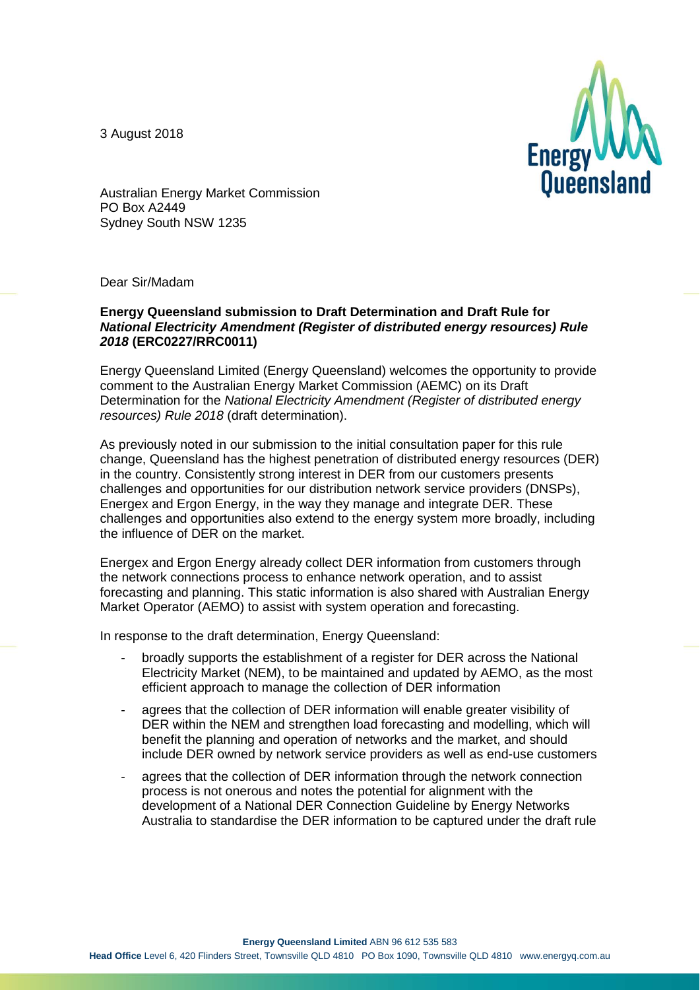3 August 2018



Australian Energy Market Commission PO Box A2449 Sydney South NSW 1235

Dear Sir/Madam

## **Energy Queensland submission to Draft Determination and Draft Rule for**  *National Electricity Amendment (Register of distributed energy resources) Rule 2018* **(ERC0227/RRC0011)**

Energy Queensland Limited (Energy Queensland) welcomes the opportunity to provide comment to the Australian Energy Market Commission (AEMC) on its Draft Determination for the *National Electricity Amendment (Register of distributed energy resources) Rule 2018* (draft determination).

As previously noted in our submission to the initial consultation paper for this rule change, Queensland has the highest penetration of distributed energy resources (DER) in the country. Consistently strong interest in DER from our customers presents challenges and opportunities for our distribution network service providers (DNSPs), Energex and Ergon Energy, in the way they manage and integrate DER. These challenges and opportunities also extend to the energy system more broadly, including the influence of DER on the market.

Energex and Ergon Energy already collect DER information from customers through the network connections process to enhance network operation, and to assist forecasting and planning. This static information is also shared with Australian Energy Market Operator (AEMO) to assist with system operation and forecasting.

In response to the draft determination, Energy Queensland:

- broadly supports the establishment of a register for DER across the National Electricity Market (NEM), to be maintained and updated by AEMO, as the most efficient approach to manage the collection of DER information
- agrees that the collection of DER information will enable greater visibility of DER within the NEM and strengthen load forecasting and modelling, which will benefit the planning and operation of networks and the market, and should include DER owned by network service providers as well as end-use customers
- agrees that the collection of DER information through the network connection process is not onerous and notes the potential for alignment with the development of a National DER Connection Guideline by Energy Networks Australia to standardise the DER information to be captured under the draft rule